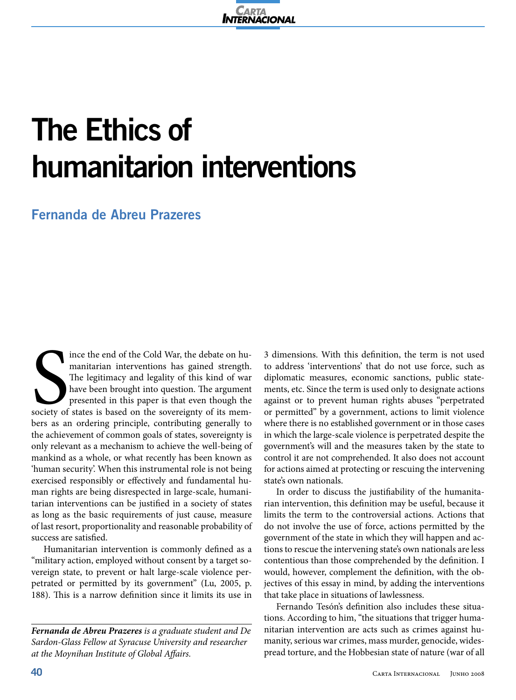

## **The Ethics of humanitarion interventions**

## **Fernanda de Abreu Prazeres**

Society of ince the end of the Cold War, the debate on humanitarian interventions has gained strength. The legitimacy and legality of this kind of war have been brought into question. The argument presented in this paper is that even though the society of states is based on the sovereignty of its members as an ordering principle, contributing generally to the achievement of common goals of states, sovereignty is only relevant as a mechanism to achieve the well-being of mankind as a whole, or what recently has been known as 'human security'. When this instrumental role is not being exercised responsibly or effectively and fundamental human rights are being disrespected in large-scale, humanitarian interventions can be justified in a society of states as long as the basic requirements of just cause, measure of last resort, proportionality and reasonable probability of success are satisfied.

Humanitarian intervention is commonly defined as a "military action, employed without consent by a target sovereign state, to prevent or halt large-scale violence perpetrated or permitted by its government" (Lu, 2005, p. 188). This is a narrow definition since it limits its use in

*Fernanda de Abreu Prazeres is a graduate student and De Sardon-Glass Fellow at Syracuse University and researcher at the Moynihan Institute of Global Affairs.*

3 dimensions. With this definition, the term is not used to address 'interventions' that do not use force, such as diplomatic measures, economic sanctions, public statements, etc. Since the term is used only to designate actions against or to prevent human rights abuses "perpetrated or permitted" by a government, actions to limit violence where there is no established government or in those cases in which the large-scale violence is perpetrated despite the government's will and the measures taken by the state to control it are not comprehended. It also does not account for actions aimed at protecting or rescuing the intervening state's own nationals.

In order to discuss the justifiability of the humanitarian intervention, this definition may be useful, because it limits the term to the controversial actions. Actions that do not involve the use of force, actions permitted by the government of the state in which they will happen and actions to rescue the intervening state's own nationals are less contentious than those comprehended by the definition. I would, however, complement the definition, with the objectives of this essay in mind, by adding the interventions that take place in situations of lawlessness.

Fernando Tesón's definition also includes these situations. According to him, "the situations that trigger humanitarian intervention are acts such as crimes against humanity, serious war crimes, mass murder, genocide, widespread torture, and the Hobbesian state of nature (war of all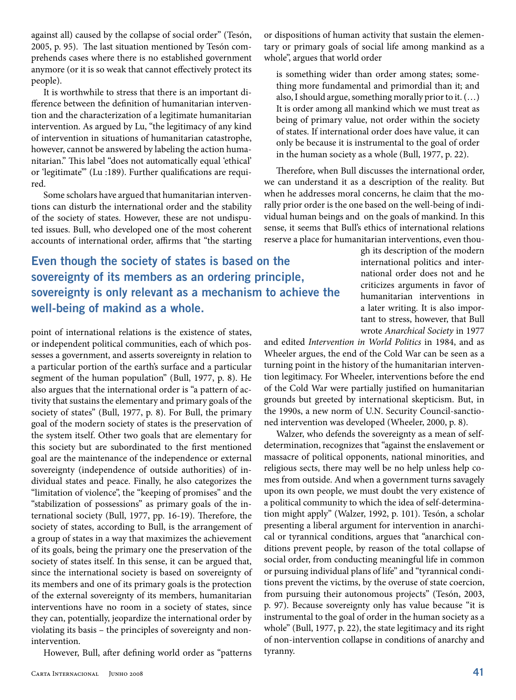against all) caused by the collapse of social order" (Tesón, 2005, p. 95). The last situation mentioned by Tesón comprehends cases where there is no established government anymore (or it is so weak that cannot effectively protect its people).

It is worthwhile to stress that there is an important difference between the definition of humanitarian intervention and the characterization of a legitimate humanitarian intervention. As argued by Lu, "the legitimacy of any kind of intervention in situations of humanitarian catastrophe, however, cannot be answered by labeling the action humanitarian." This label "does not automatically equal 'ethical' or 'legitimate'" (Lu :189). Further qualifications are required.

Some scholars have argued that humanitarian interventions can disturb the international order and the stability of the society of states. However, these are not undisputed issues. Bull, who developed one of the most coherent accounts of international order, affirms that "the starting

**Even though the society of states is based on the sovereignty of its members as an ordering principle, sovereignty is only relevant as a mechanism to achieve the well-being of makind as a whole.**

point of international relations is the existence of states, or independent political communities, each of which possesses a government, and asserts sovereignty in relation to a particular portion of the earth's surface and a particular segment of the human population" (Bull, 1977, p. 8). He also argues that the international order is "a pattern of activity that sustains the elementary and primary goals of the society of states" (Bull, 1977, p. 8). For Bull, the primary goal of the modern society of states is the preservation of the system itself. Other two goals that are elementary for this society but are subordinated to the first mentioned goal are the maintenance of the independence or external sovereignty (independence of outside authorities) of individual states and peace. Finally, he also categorizes the "limitation of violence", the "keeping of promises" and the "stabilization of possessions" as primary goals of the international society (Bull, 1977, pp. 16-19). Therefore, the society of states, according to Bull, is the arrangement of a group of states in a way that maximizes the achievement of its goals, being the primary one the preservation of the society of states itself. In this sense, it can be argued that, since the international society is based on sovereignty of its members and one of its primary goals is the protection of the external sovereignty of its members, humanitarian interventions have no room in a society of states, since they can, potentially, jeopardize the international order by violating its basis – the principles of sovereignty and nonintervention.

However, Bull, after defining world order as "patterns

or dispositions of human activity that sustain the elementary or primary goals of social life among mankind as a whole", argues that world order

is something wider than order among states; something more fundamental and primordial than it; and also, I should argue, something morally prior to it. (…) It is order among all mankind which we must treat as being of primary value, not order within the society of states. If international order does have value, it can only be because it is instrumental to the goal of order in the human society as a whole (Bull, 1977, p. 22).

Therefore, when Bull discusses the international order, we can understand it as a description of the reality. But when he addresses moral concerns, he claim that the morally prior order is the one based on the well-being of individual human beings and on the goals of mankind. In this sense, it seems that Bull's ethics of international relations reserve a place for humanitarian interventions, even thou-

> gh its description of the modern international politics and international order does not and he criticizes arguments in favor of humanitarian interventions in a later writing. It is also important to stress, however, that Bull wrote *Anarchical Society* in 1977

and edited *Intervention in World Politics* in 1984, and as Wheeler argues, the end of the Cold War can be seen as a turning point in the history of the humanitarian intervention legitimacy. For Wheeler, interventions before the end of the Cold War were partially justified on humanitarian grounds but greeted by international skepticism. But, in the 1990s, a new norm of U.N. Security Council-sanctioned intervention was developed (Wheeler, 2000, p. 8).

Walzer, who defends the sovereignty as a mean of selfdetermination, recognizes that "against the enslavement or massacre of political opponents, national minorities, and religious sects, there may well be no help unless help comes from outside. And when a government turns savagely upon its own people, we must doubt the very existence of a political community to which the idea of self-determination might apply" (Walzer, 1992, p. 101). Tesón, a scholar presenting a liberal argument for intervention in anarchical or tyrannical conditions, argues that "anarchical conditions prevent people, by reason of the total collapse of social order, from conducting meaningful life in common or pursuing individual plans of life" and "tyrannical conditions prevent the victims, by the overuse of state coercion, from pursuing their autonomous projects" (Tesón, 2003, p. 97). Because sovereignty only has value because "it is instrumental to the goal of order in the human society as a whole" (Bull, 1977, p. 22), the state legitimacy and its right of non-intervention collapse in conditions of anarchy and tyranny.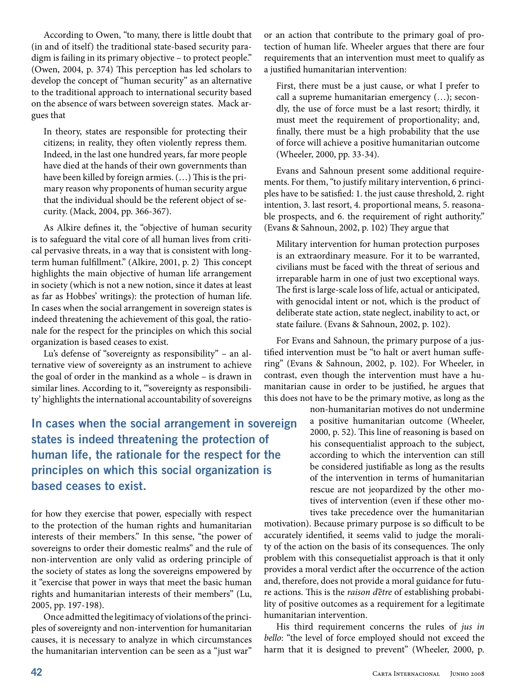According to Owen, "to many, there is little doubt that (in and of itself) the traditional state-based security paradigm is failing in its primary objective – to protect people." (Owen, 2004, p. 374) This perception has led scholars to develop the concept of "human security" as an alternative to the traditional approach to international security based on the absence of wars between sovereign states. Mack argues that

In theory, states are responsible for protecting their citizens; in reality, they often violently repress them. Indeed, in the last one hundred years, far more people have died at the hands of their own governments than have been killed by foreign armies. (…) This is the primary reason why proponents of human security argue that the individual should be the referent object of security. (Mack, 2004, pp. 366-367).

As Alkire defines it, the "objective of human security is to safeguard the vital core of all human lives from critical pervasive threats, in a way that is consistent with longterm human fulfillment." (Alkire, 2001, p. 2) This concept highlights the main objective of human life arrangement in society (which is not a new notion, since it dates at least as far as Hobbes' writings): the protection of human life. In cases when the social arrangement in sovereign states is indeed threatening the achievement of this goal, the rationale for the respect for the principles on which this social organization is based ceases to exist.

Lu's defense of "sovereignty as responsibility" – an alternative view of sovereignty as an instrument to achieve the goal of order in the mankind as a whole – is drawn in similar lines. According to it, "'sovereignty as responsibility' highlights the international accountability of sovereigns

**In cases when the social arrangement in sovereign states is indeed threatening the protection of human life, the rationale for the respect for the principles on which this social organization is based ceases to exist.** 

for how they exercise that power, especially with respect to the protection of the human rights and humanitarian interests of their members." In this sense, "the power of sovereigns to order their domestic realms" and the rule of non-intervention are only valid as ordering principle of the society of states as long the sovereigns empowered by it "exercise that power in ways that meet the basic human rights and humanitarian interests of their members" (Lu, 2005, pp. 197-198).

Once admitted the legitimacy of violations of the principles of sovereignty and non-intervention for humanitarian causes, it is necessary to analyze in which circumstances the humanitarian intervention can be seen as a "just war"

or an action that contribute to the primary goal of protection of human life. Wheeler argues that there are four requirements that an intervention must meet to qualify as a justified humanitarian intervention:

First, there must be a just cause, or what I prefer to call a supreme humanitarian emergency (…); secondly, the use of force must be a last resort; thirdly, it must meet the requirement of proportionality; and, finally, there must be a high probability that the use of force will achieve a positive humanitarian outcome (Wheeler, 2000, pp. 33-34).

Evans and Sahnoun present some additional requirements. For them, "to justify military intervention, 6 principles have to be satisfied: 1. the just cause threshold, 2. right intention, 3. last resort, 4. proportional means, 5. reasonable prospects, and 6. the requirement of right authority." (Evans & Sahnoun, 2002, p. 102) They argue that

Military intervention for human protection purposes is an extraordinary measure. For it to be warranted, civilians must be faced with the threat of serious and irreparable harm in one of just two exceptional ways. The first is large-scale loss of life, actual or anticipated, with genocidal intent or not, which is the product of deliberate state action, state neglect, inability to act, or state failure. (Evans & Sahnoun, 2002, p. 102).

For Evans and Sahnoun, the primary purpose of a justified intervention must be "to halt or avert human suffering" (Evans & Sahnoun, 2002, p. 102). For Wheeler, in contrast, even though the intervention must have a humanitarian cause in order to be justified, he argues that this does not have to be the primary motive, as long as the

> non-humanitarian motives do not undermine a positive humanitarian outcome (Wheeler, 2000, p. 52). This line of reasoning is based on his consequentialist approach to the subject, according to which the intervention can still be considered justifiable as long as the results of the intervention in terms of humanitarian rescue are not jeopardized by the other motives of intervention (even if these other motives take precedence over the humanitarian

motivation). Because primary purpose is so difficult to be accurately identified, it seems valid to judge the morality of the action on the basis of its consequences. The only problem with this consequetialist approach is that it only provides a moral verdict after the occurrence of the action and, therefore, does not provide a moral guidance for future actions. This is the *raison d'être* of establishing probability of positive outcomes as a requirement for a legitimate humanitarian intervention.

His third requirement concerns the rules of *jus in bello*: "the level of force employed should not exceed the harm that it is designed to prevent" (Wheeler, 2000, p.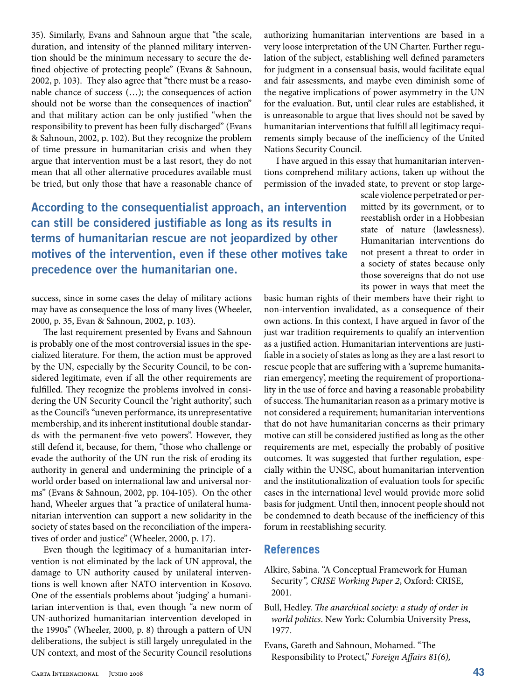35). Similarly, Evans and Sahnoun argue that "the scale, duration, and intensity of the planned military intervention should be the minimum necessary to secure the defined objective of protecting people" (Evans & Sahnoun, 2002, p. 103). They also agree that "there must be a reasonable chance of success (…); the consequences of action should not be worse than the consequences of inaction" and that military action can be only justified "when the responsibility to prevent has been fully discharged" (Evans & Sahnoun, 2002, p. 102). But they recognize the problem of time pressure in humanitarian crisis and when they argue that intervention must be a last resort, they do not mean that all other alternative procedures available must be tried, but only those that have a reasonable chance of

authorizing humanitarian interventions are based in a very loose interpretation of the UN Charter. Further regulation of the subject, establishing well defined parameters for judgment in a consensual basis, would facilitate equal and fair assessments, and maybe even diminish some of the negative implications of power asymmetry in the UN for the evaluation. But, until clear rules are established, it is unreasonable to argue that lives should not be saved by humanitarian interventions that fulfill all legitimacy requirements simply because of the inefficiency of the United Nations Security Council.

I have argued in this essay that humanitarian interventions comprehend military actions, taken up without the permission of the invaded state, to prevent or stop large-

**According to the consequentialist approach, an intervention can still be considered justifiable as long as its results in terms of humanitarian rescue are not jeopardized by other motives of the intervention, even if these other motives take precedence over the humanitarian one.**

success, since in some cases the delay of military actions may have as consequence the loss of many lives (Wheeler, 2000, p. 35, Evan & Sahnoun, 2002, p. 103).

The last requirement presented by Evans and Sahnoun is probably one of the most controversial issues in the specialized literature. For them, the action must be approved by the UN, especially by the Security Council, to be considered legitimate, even if all the other requirements are fulfilled. They recognize the problems involved in considering the UN Security Council the 'right authority', such as the Council's "uneven performance, its unrepresentative membership, and its inherent institutional double standards with the permanent-five veto powers". However, they still defend it, because, for them, "those who challenge or evade the authority of the UN run the risk of eroding its authority in general and undermining the principle of a world order based on international law and universal norms" (Evans & Sahnoun, 2002, pp. 104-105). On the other hand, Wheeler argues that "a practice of unilateral humanitarian intervention can support a new solidarity in the society of states based on the reconciliation of the imperatives of order and justice" (Wheeler, 2000, p. 17).

Even though the legitimacy of a humanitarian intervention is not eliminated by the lack of UN approval, the damage to UN authority caused by unilateral interventions is well known after NATO intervention in Kosovo. One of the essentials problems about 'judging' a humanitarian intervention is that, even though "a new norm of UN-authorized humanitarian intervention developed in the 1990s" (Wheeler, 2000, p. 8) through a pattern of UN deliberations, the subject is still largely unregulated in the UN context, and most of the Security Council resolutions

scale violence perpetrated or permitted by its government, or to reestablish order in a Hobbesian state of nature (lawlessness). Humanitarian interventions do not present a threat to order in a society of states because only those sovereigns that do not use its power in ways that meet the

basic human rights of their members have their right to non-intervention invalidated, as a consequence of their own actions. In this context, I have argued in favor of the just war tradition requirements to qualify an intervention as a justified action. Humanitarian interventions are justifiable in a society of states as long as they are a last resort to rescue people that are suffering with a 'supreme humanitarian emergency', meeting the requirement of proportionality in the use of force and having a reasonable probability of success. The humanitarian reason as a primary motive is not considered a requirement; humanitarian interventions that do not have humanitarian concerns as their primary motive can still be considered justified as long as the other requirements are met, especially the probably of positive outcomes. It was suggested that further regulation, especially within the UNSC, about humanitarian intervention and the institutionalization of evaluation tools for specific cases in the international level would provide more solid basis for judgment. Until then, innocent people should not be condemned to death because of the inefficiency of this forum in reestablishing security.

## **References**

- Alkire, Sabina. "A Conceptual Framework for Human Security*", CRISE Working Paper 2*, Oxford: CRISE, 2001.
- Bull, Hedley. *The anarchical society: a study of order in world politics*. New York: Columbia University Press, 1977.
- Evans, Gareth and Sahnoun, Mohamed. "The Responsibility to Protect," *Foreign Affairs 81(6),*